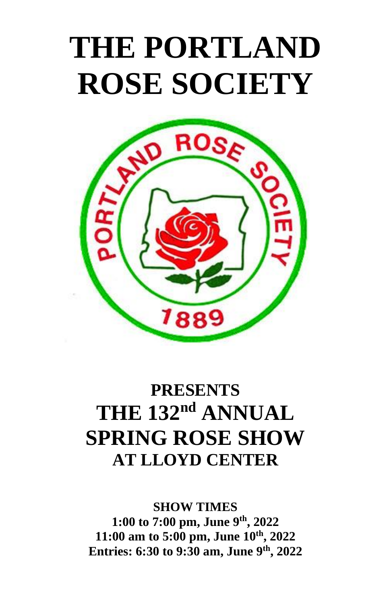# **THE PORTLAND ROSE SOCIETY**



# **PRESENTS THE 132<sup>nd</sup> ANNUAL SPRING ROSE SHOW AT LLOYD CENTER**

**SHOW TIMES 1:00 to 7:00 pm, June 9 th, 2022 11:00 am to 5:00 pm, June 10th, 2022 Entries: 6:30 to 9:30 am, June 9 th, 2022**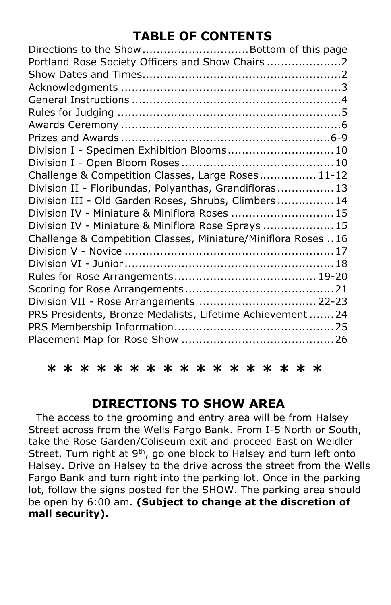# **TABLE OF CONTENTS**

| Directions to the Show  Bottom of this page<br>Portland Rose Society Officers and Show Chairs 2 |  |
|-------------------------------------------------------------------------------------------------|--|
|                                                                                                 |  |
|                                                                                                 |  |
|                                                                                                 |  |
|                                                                                                 |  |
|                                                                                                 |  |
| Division I - Specimen Exhibition Blooms 10                                                      |  |
|                                                                                                 |  |
| Challenge & Competition Classes, Large Roses 11-12                                              |  |
| Division II - Floribundas, Polyanthas, Grandifloras 13                                          |  |
| Division III - Old Garden Roses, Shrubs, Climbers 14                                            |  |
| Division IV - Miniature & Miniflora Roses  15                                                   |  |
| Division IV - Miniature & Miniflora Rose Sprays  15                                             |  |
| Challenge & Competition Classes, Miniature/Miniflora Roses 16                                   |  |
|                                                                                                 |  |
|                                                                                                 |  |
|                                                                                                 |  |
|                                                                                                 |  |
| Division VII - Rose Arrangements  22-23                                                         |  |
| PRS Presidents, Bronze Medalists, Lifetime Achievement  24                                      |  |
|                                                                                                 |  |
|                                                                                                 |  |
|                                                                                                 |  |

**\* \* \* \* \* \* \* \* \* \* \* \* \* \* \* \* \*** 

# **DIRECTIONS TO SHOW AREA**

 The access to the grooming and entry area will be from Halsey Street across from the Wells Fargo Bank. From I-5 North or South, take the Rose Garden/Coliseum exit and proceed East on Weidler Street. Turn right at 9<sup>th</sup>, go one block to Halsey and turn left onto Halsey. Drive on Halsey to the drive across the street from the Wells Fargo Bank and turn right into the parking lot. Once in the parking lot, follow the signs posted for the SHOW. The parking area should be open by 6:00 am. **(Subject to change at the discretion of mall security).**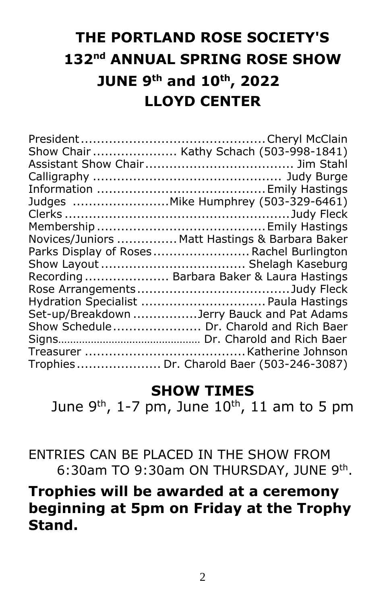# **THE PORTLAND ROSE SOCIETY'S 132 nd ANNUAL SPRING ROSE SHOW JUNE 9 th and 10th, 2022 LLOYD CENTER**

| Show Chair  Kathy Schach (503-998-1841)        |
|------------------------------------------------|
|                                                |
|                                                |
|                                                |
| Judges  Mike Humphrey (503-329-6461)           |
|                                                |
|                                                |
| Novices/Juniors  Matt Hastings & Barbara Baker |
| Parks Display of Roses Rachel Burlington       |
|                                                |
| Recording  Barbara Baker & Laura Hastings      |
|                                                |
| Hydration Specialist  Paula Hastings           |
| Set-up/Breakdown Jerry Bauck and Pat Adams     |
| Show Schedule Dr. Charold and Rich Baer        |
|                                                |
|                                                |
| Trophies  Dr. Charold Baer (503-246-3087)      |

# **SHOW TIMES**

June 9<sup>th</sup>, 1-7 pm, June 10<sup>th</sup>, 11 am to 5 pm

ENTRIES CAN BE PLACED IN THE SHOW FROM 6:30am TO 9:30am ON THURSDAY, JUNE 9th.

# **Trophies will be awarded at a ceremony beginning at 5pm on Friday at the Trophy Stand.**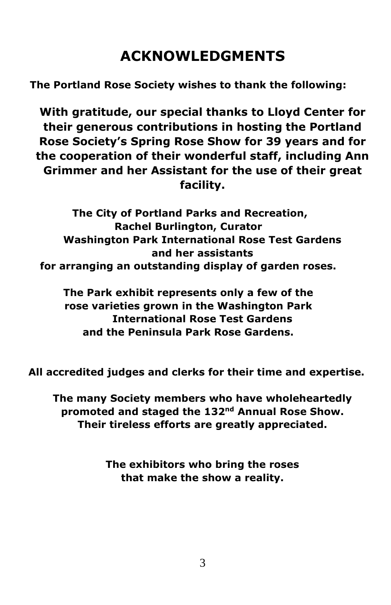# **ACKNOWLEDGMENTS**

**The Portland Rose Society wishes to thank the following:**

**With gratitude, our special thanks to Lloyd Center for their generous contributions in hosting the Portland Rose Society's Spring Rose Show for 39 years and for the cooperation of their wonderful staff, including Ann Grimmer and her Assistant for the use of their great facility.**

**The City of Portland Parks and Recreation, Rachel Burlington, Curator Washington Park International Rose Test Gardens and her assistants for arranging an outstanding display of garden roses.**

**The Park exhibit represents only a few of the rose varieties grown in the Washington Park International Rose Test Gardens and the Peninsula Park Rose Gardens.**

**All accredited judges and clerks for their time and expertise.**

**The many Society members who have wholeheartedly promoted and staged the 132nd Annual Rose Show. Their tireless efforts are greatly appreciated.**

> **The exhibitors who bring the roses that make the show a reality.**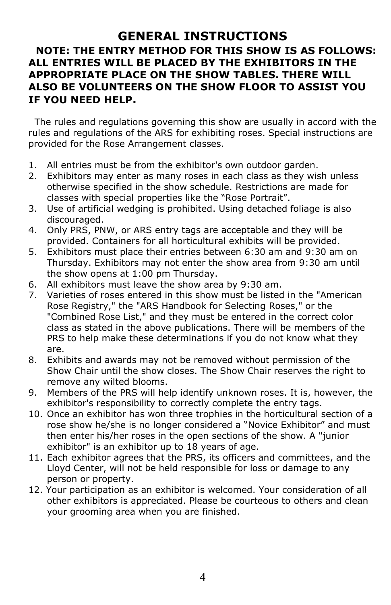# **GENERAL INSTRUCTIONS NOTE: THE ENTRY METHOD FOR THIS SHOW IS AS FOLLOWS: ALL ENTRIES WILL BE PLACED BY THE EXHIBITORS IN THE APPROPRIATE PLACE ON THE SHOW TABLES. THERE WILL ALSO BE VOLUNTEERS ON THE SHOW FLOOR TO ASSIST YOU IF YOU NEED HELP.**

 The rules and regulations governing this show are usually in accord with the rules and regulations of the ARS for exhibiting roses. Special instructions are provided for the Rose Arrangement classes.

- 1. All entries must be from the exhibitor's own outdoor garden.
- 2. Exhibitors may enter as many roses in each class as they wish unless otherwise specified in the show schedule. Restrictions are made for classes with special properties like the "Rose Portrait".
- 3. Use of artificial wedging is prohibited. Using detached foliage is also discouraged.
- 4. Only PRS, PNW, or ARS entry tags are acceptable and they will be provided. Containers for all horticultural exhibits will be provided.
- 5. Exhibitors must place their entries between 6:30 am and 9:30 am on Thursday. Exhibitors may not enter the show area from 9:30 am until the show opens at 1:00 pm Thursday.
- 6. All exhibitors must leave the show area by 9:30 am.
- 7. Varieties of roses entered in this show must be listed in the "American Rose Registry," the "ARS Handbook for Selecting Roses," or the "Combined Rose List," and they must be entered in the correct color class as stated in the above publications. There will be members of the PRS to help make these determinations if you do not know what they are.
- 8. Exhibits and awards may not be removed without permission of the Show Chair until the show closes. The Show Chair reserves the right to remove any wilted blooms.
- 9. Members of the PRS will help identify unknown roses. It is, however, the exhibitor's responsibility to correctly complete the entry tags.
- 10. Once an exhibitor has won three trophies in the horticultural section of a rose show he/she is no longer considered a "Novice Exhibitor" and must then enter his/her roses in the open sections of the show. A "junior exhibitor" is an exhibitor up to 18 years of age.
- 11. Each exhibitor agrees that the PRS, its officers and committees, and the Lloyd Center, will not be held responsible for loss or damage to any person or property.
- 12. Your participation as an exhibitor is welcomed. Your consideration of all other exhibitors is appreciated. Please be courteous to others and clean your grooming area when you are finished.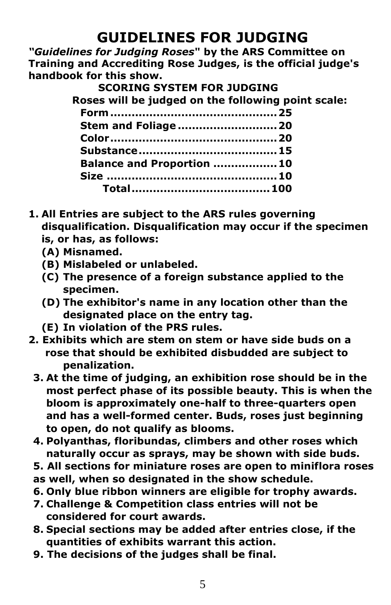# **GUIDELINES FOR JUDGING**

*"Guidelines for Judging Roses***" by the ARS Committee on Training and Accrediting Rose Judges, is the official judge's handbook for this show.**

# **SCORING SYSTEM FOR JUDGING**

 **Roses will be judged on the following point scale:**

| <b>Stem and Foliage  20</b>      |  |
|----------------------------------|--|
|                                  |  |
|                                  |  |
| <b>Balance and Proportion 10</b> |  |
|                                  |  |
|                                  |  |
|                                  |  |

- **1. All Entries are subject to the ARS rules governing disqualification. Disqualification may occur if the specimen is, or has, as follows:**
	- **(A) Misnamed.**
	- **(B) Mislabeled or unlabeled.**
	- **(C) The presence of a foreign substance applied to the specimen.**
	- **(D) The exhibitor's name in any location other than the designated place on the entry tag.**
	- **(E) In violation of the PRS rules.**
- **2. Exhibits which are stem on stem or have side buds on a rose that should be exhibited disbudded are subject to penalization.**
- **3. At the time of judging, an exhibition rose should be in the most perfect phase of its possible beauty. This is when the bloom is approximately one-half to three-quarters open and has a well-formed center. Buds, roses just beginning to open, do not qualify as blooms.**
- **4. Polyanthas, floribundas, climbers and other roses which naturally occur as sprays, may be shown with side buds.**
- **5. All sections for miniature roses are open to miniflora roses as well, when so designated in the show schedule.**
- **6. Only blue ribbon winners are eligible for trophy awards.**
- **7. Challenge & Competition class entries will not be considered for court awards.**
- **8. Special sections may be added after entries close, if the quantities of exhibits warrant this action.**
- **9. The decisions of the judges shall be final.**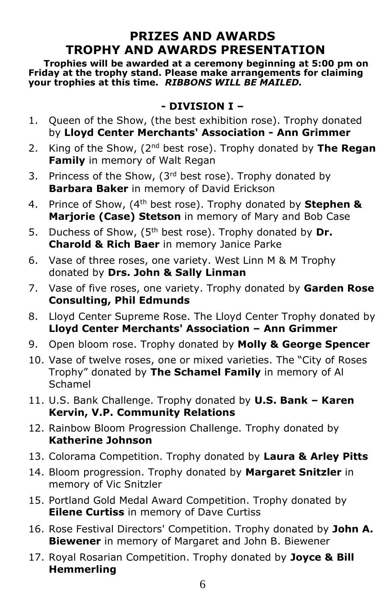# **PRIZES AND AWARDS TROPHY AND AWARDS PRESENTATION**

 **Trophies will be awarded at a ceremony beginning at 5:00 pm on Friday at the trophy stand. Please make arrangements for claiming your trophies at this time.** *RIBBONS WILL BE MAILED.* 

# **- DIVISION I –**

- 1. Queen of the Show, (the best exhibition rose). Trophy donated by **Lloyd Center Merchants' Association - Ann Grimmer**
- 2. King of the Show, (2nd best rose). Trophy donated by **The Regan Family** in memory of Walt Regan
- 3. Princess of the Show,  $(3<sup>rd</sup>$  best rose). Trophy donated by **Barbara Baker** in memory of David Erickson
- 4. Prince of Show, (4th best rose). Trophy donated by **Stephen & Marjorie (Case) Stetson** in memory of Mary and Bob Case
- 5. Duchess of Show, (5th best rose). Trophy donated by **Dr. Charold & Rich Baer** in memory Janice Parke
- 6. Vase of three roses, one variety. West Linn M & M Trophy donated by **Drs. John & Sally Linman**
- 7. Vase of five roses, one variety. Trophy donated by **Garden Rose Consulting, Phil Edmunds**
- 8. Lloyd Center Supreme Rose. The Lloyd Center Trophy donated by **Lloyd Center Merchants' Association – Ann Grimmer**
- 9. Open bloom rose. Trophy donated by **Molly & George Spencer**
- 10. Vase of twelve roses, one or mixed varieties. The "City of Roses Trophy" donated by **The Schamel Family** in memory of Al Schamel
- 11. U.S. Bank Challenge. Trophy donated by **U.S. Bank – Karen Kervin, V.P. Community Relations**
- 12. Rainbow Bloom Progression Challenge. Trophy donated by **Katherine Johnson**
- 13. Colorama Competition. Trophy donated by **Laura & Arley Pitts**
- 14. Bloom progression. Trophy donated by **Margaret Snitzler** in memory of Vic Snitzler
- 15. Portland Gold Medal Award Competition. Trophy donated by **Eilene Curtiss** in memory of Dave Curtiss
- 16. Rose Festival Directors' Competition. Trophy donated by **John A. Biewener** in memory of Margaret and John B. Biewener
- 17. Royal Rosarian Competition. Trophy donated by **Joyce & Bill Hemmerling**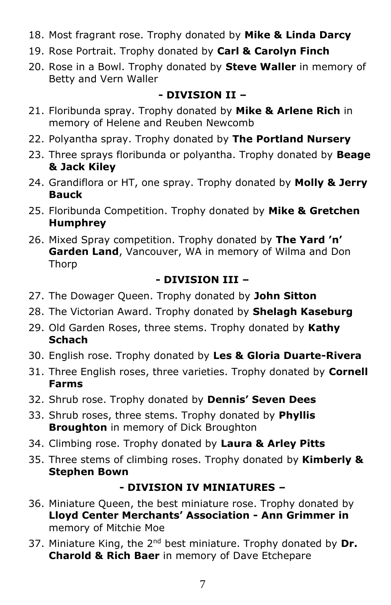- 18. Most fragrant rose. Trophy donated by **Mike & Linda Darcy**
- 19. Rose Portrait. Trophy donated by **Carl & Carolyn Finch**
- 20. Rose in a Bowl. Trophy donated by **Steve Waller** in memory of Betty and Vern Waller

# **- DIVISION II –**

- 21. Floribunda spray. Trophy donated by **Mike & Arlene Rich** in memory of Helene and Reuben Newcomb
- 22. Polyantha spray. Trophy donated by **The Portland Nursery**
- 23. Three sprays floribunda or polyantha. Trophy donated by **Beage & Jack Kiley**
- 24. Grandiflora or HT, one spray. Trophy donated by **Molly & Jerry Bauck**
- 25. Floribunda Competition. Trophy donated by **Mike & Gretchen Humphrey**
- 26. Mixed Spray competition. Trophy donated by **The Yard 'n' Garden Land**, Vancouver, WA in memory of Wilma and Don Thorp

# **- DIVISION III –**

- 27. The Dowager Queen. Trophy donated by **John Sitton**
- 28. The Victorian Award. Trophy donated by **Shelagh Kaseburg**
- 29. Old Garden Roses, three stems. Trophy donated by **Kathy Schach**
- 30. English rose. Trophy donated by **Les & Gloria Duarte-Rivera**
- 31. Three English roses, three varieties. Trophy donated by **Cornell Farms**
- 32. Shrub rose. Trophy donated by **Dennis' Seven Dees**
- 33. Shrub roses, three stems. Trophy donated by **Phyllis Broughton** in memory of Dick Broughton
- 34. Climbing rose. Trophy donated by **Laura & Arley Pitts**
- 35. Three stems of climbing roses. Trophy donated by **Kimberly & Stephen Bown**

# **- DIVISION IV MINIATURES –**

- 36. Miniature Queen, the best miniature rose. Trophy donated by **Lloyd Center Merchants' Association - Ann Grimmer in**  memory of Mitchie Moe
- 37. Miniature King, the 2<sup>nd</sup> best miniature. Trophy donated by Dr. **Charold & Rich Baer** in memory of Dave Etchepare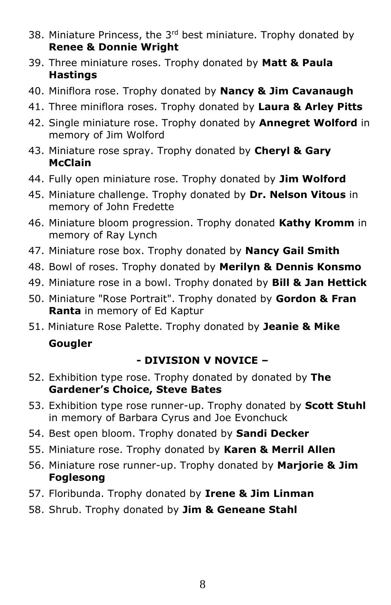- 38. Miniature Princess, the  $3<sup>rd</sup>$  best miniature. Trophy donated by **Renee & Donnie Wright**
- 39. Three miniature roses. Trophy donated by **Matt & Paula Hastings**
- 40. Miniflora rose. Trophy donated by **Nancy & Jim Cavanaugh**
- 41. Three miniflora roses. Trophy donated by **Laura & Arley Pitts**
- 42. Single miniature rose. Trophy donated by **Annegret Wolford** in memory of Jim Wolford
- 43. Miniature rose spray. Trophy donated by **Cheryl & Gary McClain**
- 44. Fully open miniature rose. Trophy donated by **Jim Wolford**
- 45. Miniature challenge. Trophy donated by **Dr. Nelson Vitous** in memory of John Fredette
- 46. Miniature bloom progression. Trophy donated **Kathy Kromm** in memory of Ray Lynch
- 47. Miniature rose box. Trophy donated by **Nancy Gail Smith**
- 48. Bowl of roses. Trophy donated by **Merilyn & Dennis Konsmo**
- 49. Miniature rose in a bowl. Trophy donated by **Bill & Jan Hettick**
- 50. Miniature "Rose Portrait". Trophy donated by **Gordon & Fran Ranta** in memory of Ed Kaptur
- 51. Miniature Rose Palette. Trophy donated by **Jeanie & Mike**

# **Gougler**

# **- DIVISION V NOVICE –**

- 52. Exhibition type rose. Trophy donated by donated by **The Gardener's Choice, Steve Bates**
- 53. Exhibition type rose runner-up. Trophy donated by **Scott Stuhl** in memory of Barbara Cyrus and Joe Evonchuck
- 54. Best open bloom. Trophy donated by **Sandi Decker**
- 55. Miniature rose. Trophy donated by **Karen & Merril Allen**
- 56. Miniature rose runner-up. Trophy donated by **Marjorie & Jim Foglesong**
- 57. Floribunda. Trophy donated by **Irene & Jim Linman**
- 58. Shrub. Trophy donated by **Jim & Geneane Stahl**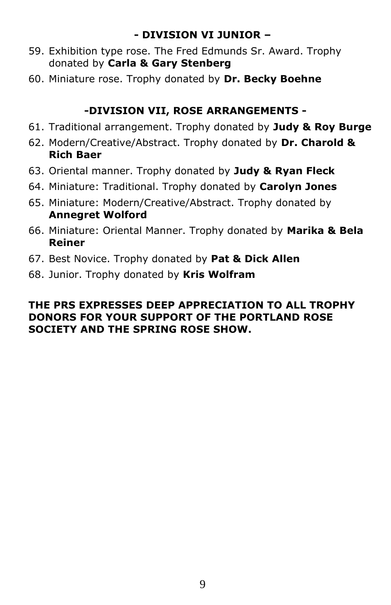# **- DIVISION VI JUNIOR –**

- 59. Exhibition type rose. The Fred Edmunds Sr. Award. Trophy donated by **Carla & Gary Stenberg**
- 60. Miniature rose. Trophy donated by **Dr. Becky Boehne**

# **-DIVISION VII, ROSE ARRANGEMENTS -**

- 61. Traditional arrangement. Trophy donated by **Judy & Roy Burge**
- 62. Modern/Creative/Abstract. Trophy donated by **Dr. Charold & Rich Baer**
- 63. Oriental manner. Trophy donated by **Judy & Ryan Fleck**
- 64. Miniature: Traditional. Trophy donated by **Carolyn Jones**
- 65. Miniature: Modern/Creative/Abstract. Trophy donated by **Annegret Wolford**
- 66. Miniature: Oriental Manner. Trophy donated by **Marika & Bela Reiner**
- 67. Best Novice. Trophy donated by **Pat & Dick Allen**
- 68. Junior. Trophy donated by **Kris Wolfram**

### **THE PRS EXPRESSES DEEP APPRECIATION TO ALL TROPHY DONORS FOR YOUR SUPPORT OF THE PORTLAND ROSE SOCIETY AND THE SPRING ROSE SHOW.**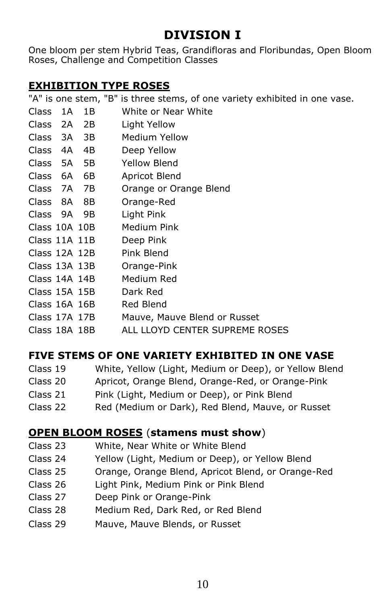# **DIVISION I**

One bloom per stem Hybrid Teas, Grandifloras and Floribundas, Open Bloom Roses, Challenge and Competition Classes

# **EXHIBITION TYPE ROSES**

|                   |      |      | "A" is one stem, "B" is three stems, of one variety exhibited in one vase. |
|-------------------|------|------|----------------------------------------------------------------------------|
| <b>Class</b>      | 1A   | 1B   | White or Near White                                                        |
| <b>Class</b>      | - 2A | - 2B | Light Yellow                                                               |
| Class 3A 3B       |      |      | Medium Yellow                                                              |
| <b>Class</b>      | 4A   | 4B   | Deep Yellow                                                                |
| Class 5A          |      | - 5B | Yellow Blend                                                               |
| Class 6A          |      | 6B   | Apricot Blend                                                              |
| Class 7A          |      | 7B   | Orange or Orange Blend                                                     |
| Class 8A          |      | 8B   | Orange-Red                                                                 |
| Class 9A 9B       |      |      | Light Pink                                                                 |
| Class $10A$ $10B$ |      |      | Medium Pink                                                                |
| Class $11A$ $11B$ |      |      | Deep Pink                                                                  |
| Class $12A$ $12B$ |      |      | Pink Blend                                                                 |
| Class 13A 13B     |      |      | Orange-Pink                                                                |
| Class $14A$ $14B$ |      |      | Medium Red                                                                 |
| $Class$ 15A 15B   |      |      | Dark Red                                                                   |
| Class $16A$ $16B$ |      |      | Red Blend                                                                  |
| Class 17A 17B     |      |      | Mauve, Mauve Blend or Russet                                               |
| Class 18A 18B     |      |      | ALL LLOYD CENTER SUPREME ROSES                                             |

# **FIVE STEMS OF ONE VARIETY EXHIBITED IN ONE VASE**

| Class 19 | White, Yellow (Light, Medium or Deep), or Yellow Blend |
|----------|--------------------------------------------------------|
| Class 20 | Apricot, Orange Blend, Orange-Red, or Orange-Pink      |
| Class 21 | Pink (Light, Medium or Deep), or Pink Blend            |
| Class 22 | Red (Medium or Dark), Red Blend, Mauve, or Russet      |

### **OPEN BLOOM ROSES** (**stamens must show**)

- Class 23 White, Near White or White Blend
- Class 24 Yellow (Light, Medium or Deep), or Yellow Blend
- Class 25 Orange, Orange Blend, Apricot Blend, or Orange-Red
- Class 26 Light Pink, Medium Pink or Pink Blend
- Class 27 Deep Pink or Orange-Pink
- Class 28 Medium Red, Dark Red, or Red Blend
- Class 29 Mauve, Mauve Blends, or Russet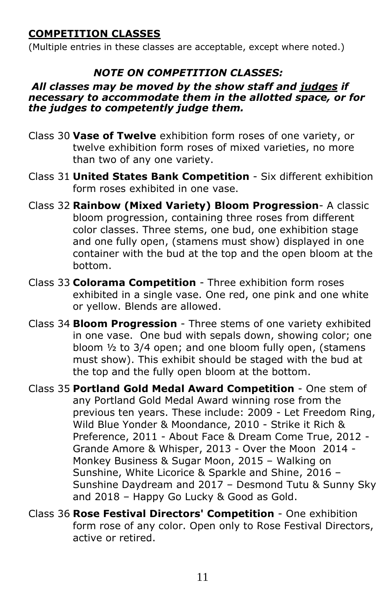# **COMPETITION CLASSES**

(Multiple entries in these classes are acceptable, except where noted.)

# *NOTE ON COMPETITION CLASSES:*

#### *All classes may be moved by the show staff and judges if necessary to accommodate them in the allotted space, or for the judges to competently judge them.*

- Class 30 **Vase of Twelve** exhibition form roses of one variety, or twelve exhibition form roses of mixed varieties, no more than two of any one variety.
- Class 31 **United States Bank Competition** Six different exhibition form roses exhibited in one vase.
- Class 32 **Rainbow (Mixed Variety) Bloom Progression** A classic bloom progression, containing three roses from different color classes. Three stems, one bud, one exhibition stage and one fully open, (stamens must show) displayed in one container with the bud at the top and the open bloom at the bottom.
- Class 33 **Colorama Competition** Three exhibition form roses exhibited in a single vase. One red, one pink and one white or yellow. Blends are allowed.
- Class 34 **Bloom Progression** Three stems of one variety exhibited in one vase. One bud with sepals down, showing color; one bloom ½ to 3/4 open; and one bloom fully open, (stamens must show). This exhibit should be staged with the bud at the top and the fully open bloom at the bottom.

Class 35 **Portland Gold Medal Award Competition** - One stem of any Portland Gold Medal Award winning rose from the previous ten years. These include: 2009 - Let Freedom Ring, Wild Blue Yonder & Moondance, 2010 - Strike it Rich & Preference, 2011 - About Face & Dream Come True, 2012 - Grande Amore & Whisper, 2013 - Over the Moon 2014 - Monkey Business & Sugar Moon, 2015 – Walking on Sunshine, White Licorice & Sparkle and Shine, 2016 – Sunshine Daydream and 2017 – Desmond Tutu & Sunny Sky and 2018 – Happy Go Lucky & Good as Gold.

Class 36 **Rose Festival Directors' Competition** - One exhibition form rose of any color. Open only to Rose Festival Directors, active or retired.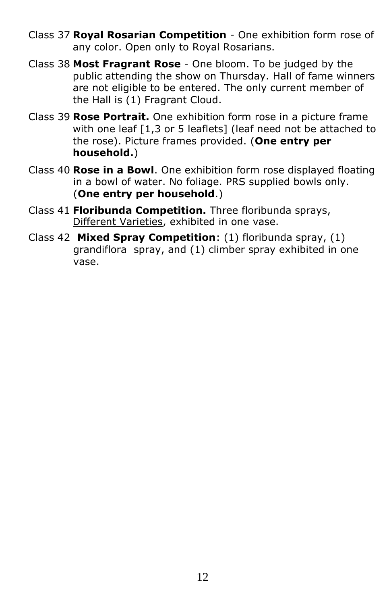- Class 37 **Royal Rosarian Competition** One exhibition form rose of any color. Open only to Royal Rosarians.
- Class 38 **Most Fragrant Rose** One bloom. To be judged by the public attending the show on Thursday. Hall of fame winners are not eligible to be entered. The only current member of the Hall is (1) Fragrant Cloud.
- Class 39 **Rose Portrait.** One exhibition form rose in a picture frame with one leaf [1,3 or 5 leaflets] (leaf need not be attached to the rose). Picture frames provided. (**One entry per household.**)
- Class 40 **Rose in a Bowl**. One exhibition form rose displayed floating in a bowl of water. No foliage. PRS supplied bowls only. (**One entry per household**.)
- Class 41 **Floribunda Competition.** Three floribunda sprays, Different Varieties, exhibited in one vase.
- Class 42 **Mixed Spray Competition**: (1) floribunda spray, (1) grandiflora spray, and (1) climber spray exhibited in one vase.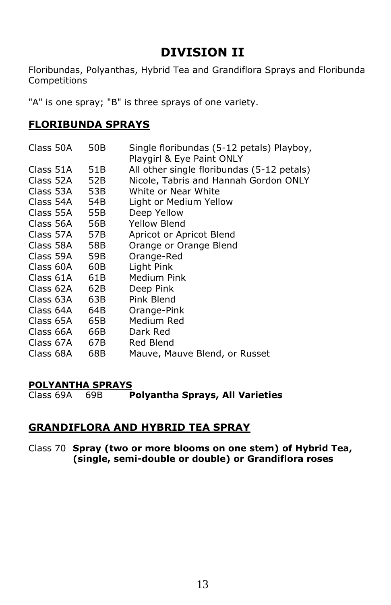# **DIVISION II**

Floribundas, Polyanthas, Hybrid Tea and Grandiflora Sprays and Floribunda Competitions

"A" is one spray; "B" is three sprays of one variety.

## **FLORIBUNDA SPRAYS**

| Class 50A | 50B | Single floribundas (5-12 petals) Playboy,<br>Playgirl & Eye Paint ONLY |
|-----------|-----|------------------------------------------------------------------------|
| Class 51A | 51B | All other single floribundas (5-12 petals)                             |
| Class 52A | 52B | Nicole, Tabris and Hannah Gordon ONLY                                  |
| Class 53A | 53B | White or Near White                                                    |
| Class 54A | 54B | Light or Medium Yellow                                                 |
| Class 55A | 55B | Deep Yellow                                                            |
| Class 56A | 56B | Yellow Blend                                                           |
| Class 57A | 57B | Apricot or Apricot Blend                                               |
| Class 58A | 58B | Orange or Orange Blend                                                 |
| Class 59A | 59B | Orange-Red                                                             |
| Class 60A | 60B | Light Pink                                                             |
| Class 61A | 61B | Medium Pink                                                            |
| Class 62A | 62B | Deep Pink                                                              |
| Class 63A | 63B | Pink Blend                                                             |
| Class 64A | 64B | Orange-Pink                                                            |
| Class 65A | 65B | Medium Red                                                             |
| Class 66A | 66B | Dark Red                                                               |
| Class 67A | 67B | Red Blend                                                              |
| Class 68A | 68B | Mauve, Mauve Blend, or Russet                                          |

#### **POLYANTHA SPRAYS**

Class 69A 69B **Polyantha Sprays, All Varieties**

#### **GRANDIFLORA AND HYBRID TEA SPRAY**

Class 70 **Spray (two or more blooms on one stem) of Hybrid Tea, (single, semi-double or double) or Grandiflora roses**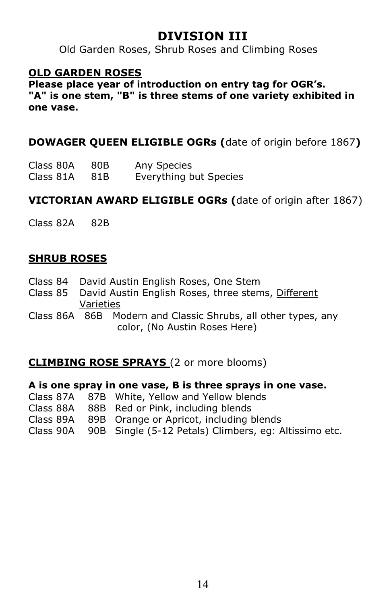# **DIVISION III**

Old Garden Roses, Shrub Roses and Climbing Roses

# **OLD GARDEN ROSES**

**Please place year of introduction on entry tag for OGR's. "A" is one stem, "B" is three stems of one variety exhibited in one vase.** 

# **DOWAGER QUEEN ELIGIBLE OGRs (**date of origin before 1867**)**

| Class 80A | 80B | Any Species            |
|-----------|-----|------------------------|
| Class 81A | 81B | Everything but Species |

# **VICTORIAN AWARD ELIGIBLE OGRs (**date of origin after 1867)

Class 82A 82B

# **SHRUB ROSES**

- Class 84 David Austin English Roses, One Stem
- Class 85 David Austin English Roses, three stems, Different Varieties
- Class 86A 86B Modern and Classic Shrubs, all other types, any color, (No Austin Roses Here)

### **CLIMBING ROSE SPRAYS** (2 or more blooms)

#### **A is one spray in one vase, B is three sprays in one vase.**

|  | Class 87A 87B White, Yellow and Yellow blends                   |
|--|-----------------------------------------------------------------|
|  | Class 88A 88B Red or Pink, including blends                     |
|  | Class 89A 89B Orange or Apricot, including blends               |
|  | Class 90A 90B Single (5-12 Petals) Climbers, eg: Altissimo etc. |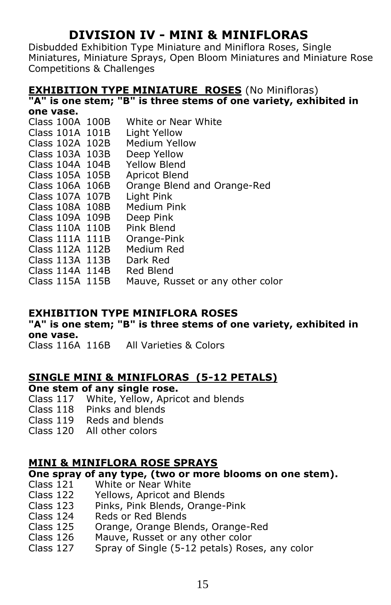# **DIVISION IV - MINI & MINIFLORAS**

Disbudded Exhibition Type Miniature and Miniflora Roses, Single Miniatures, Miniature Sprays, Open Bloom Miniatures and Miniature Rose Competitions & Challenges

# **EXHIBITION TYPE MINIATURE ROSES (No Minifloras)**

**"A" is one stem; "B" is three stems of one variety, exhibited in one vase.**

| UIIL VUJLI      |                                  |
|-----------------|----------------------------------|
| Class 100A 100B | White or Near White              |
| Class 101A 101B | Light Yellow                     |
| Class 102A 102B | Medium Yellow                    |
| Class 103A 103B | Deep Yellow                      |
| Class 104A 104B | <b>Yellow Blend</b>              |
| Class 105A 105B | Apricot Blend                    |
| Class 106A 106B | Orange Blend and Orange-Red      |
| Class 107A 107B | Light Pink                       |
| Class 108A 108B | Medium Pink                      |
| Class 109A 109B | Deep Pink                        |
| Class 110A 110B | Pink Blend                       |
| Class 111A 111B | Orange-Pink                      |
| Class 112A 112B | Medium Red                       |
| Class 113A 113B | Dark Red                         |
| Class 114A 114B | Red Blend                        |
| Class 115A 115B | Mauve, Russet or any other color |
|                 |                                  |

### **EXHIBITION TYPE MINIFLORA ROSES**

**"A" is one stem; "B" is three stems of one variety, exhibited in one vase.**

Class 116A 116B All Varieties & Colors

# **SINGLE MINI & MINIFLORAS (5-12 PETALS)**

**One stem of any single rose.**

- Class 117 White, Yellow, Apricot and blends
- Class 118 Pinks and blends
- Class 119 Reds and blends
- Class 120 All other colors

# **MINI & MINIFLORA ROSE SPRAYS**

#### **One spray of any type, (two or more blooms on one stem).**

- Class 121 White or Near White
- Class 122 Yellows, Apricot and Blends
- Class 123 Pinks, Pink Blends, Orange-Pink
- Class 124 Reds or Red Blends
- Class 125 Orange, Orange Blends, Orange-Red
- Class 126 Mauve, Russet or any other color
- Class 127 Spray of Single (5-12 petals) Roses, any color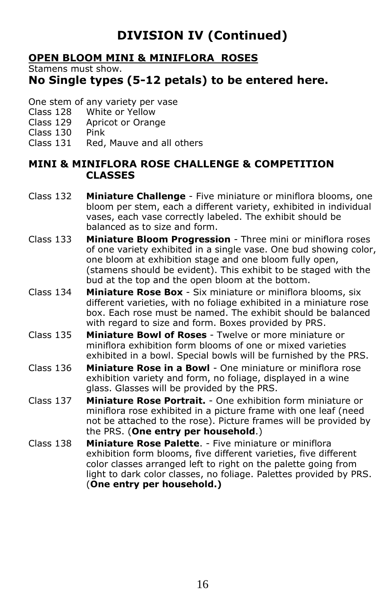# **DIVISION IV (Continued)**

# **OPEN BLOOM MINI & MINIFLORA ROSES**

Stamens must show.

# **No Single types (5-12 petals) to be entered here.**

- One stem of any variety per vase
- Class 128 White or Yellow
- Class 129 Apricot or Orange
- Class 130 Pink
- Class 131 Red, Mauve and all others

#### **MINI & MINIFLORA ROSE CHALLENGE & COMPETITION CLASSES**

- Class 132 **Miniature Challenge** Five miniature or miniflora blooms, one bloom per stem, each a different variety, exhibited in individual vases, each vase correctly labeled. The exhibit should be balanced as to size and form.
- Class 133 **Miniature Bloom Progression** Three mini or miniflora roses of one variety exhibited in a single vase. One bud showing color, one bloom at exhibition stage and one bloom fully open, (stamens should be evident). This exhibit to be staged with the bud at the top and the open bloom at the bottom.
- Class 134 **Miniature Rose Box** Six miniature or miniflora blooms, six different varieties, with no foliage exhibited in a miniature rose box. Each rose must be named. The exhibit should be balanced with regard to size and form. Boxes provided by PRS.
- Class 135 **Miniature Bowl of Roses** Twelve or more miniature or miniflora exhibition form blooms of one or mixed varieties exhibited in a bowl. Special bowls will be furnished by the PRS.
- Class 136 **Miniature Rose in a Bowl** One miniature or miniflora rose exhibition variety and form, no foliage, displayed in a wine glass. Glasses will be provided by the PRS.
- Class 137 **Miniature Rose Portrait.** One exhibition form miniature or miniflora rose exhibited in a picture frame with one leaf (need not be attached to the rose). Picture frames will be provided by the PRS. (**One entry per household**.)
- Class 138 **Miniature Rose Palette**. Five miniature or miniflora exhibition form blooms, five different varieties, five different color classes arranged left to right on the palette going from light to dark color classes, no foliage. Palettes provided by PRS. (**One entry per household.)**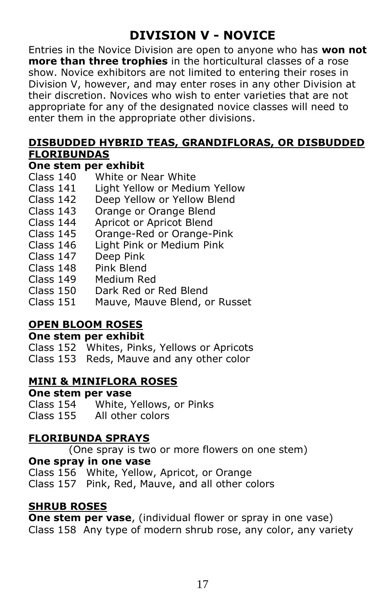# **DIVISION V - NOVICE**

Entries in the Novice Division are open to anyone who has **won not more than three trophies** in the horticultural classes of a rose show. Novice exhibitors are not limited to entering their roses in Division V, however, and may enter roses in any other Division at their discretion. Novices who wish to enter varieties that are not appropriate for any of the designated novice classes will need to enter them in the appropriate other divisions.

# **DISBUDDED HYBRID TEAS, GRANDIFLORAS, OR DISBUDDED FLORIBUNDAS**

# **One stem per exhibit**

- Class 140 White or Near White
- Class 141 Light Yellow or Medium Yellow
- Class 142 Deep Yellow or Yellow Blend
- Class 143 Orange or Orange Blend
- Class 144 Apricot or Apricot Blend
- Class 145 Orange-Red or Orange-Pink
- Class 146 Light Pink or Medium Pink
- Class 147 Deep Pink
- Class 148 Pink Blend
- Class 149 Medium Red
- Class 150 Dark Red or Red Blend
- Class 151 Mauve, Mauve Blend, or Russet

# **OPEN BLOOM ROSES**

#### **One stem per exhibit**

Class 152 Whites, Pinks, Yellows or Apricots Class 153 Reds, Mauve and any other color

### **MINI & MINIFLORA ROSES**

#### **One stem per vase**

Class 154 White, Yellows, or Pinks Class 155 All other colors

### **FLORIBUNDA SPRAYS**

(One spray is two or more flowers on one stem)

#### **One spray in one vase**

Class 156 White, Yellow, Apricot, or Orange

Class 157 Pink, Red, Mauve, and all other colors

# **SHRUB ROSES**

**One stem per vase**, (individual flower or spray in one vase) Class 158 Any type of modern shrub rose, any color, any variety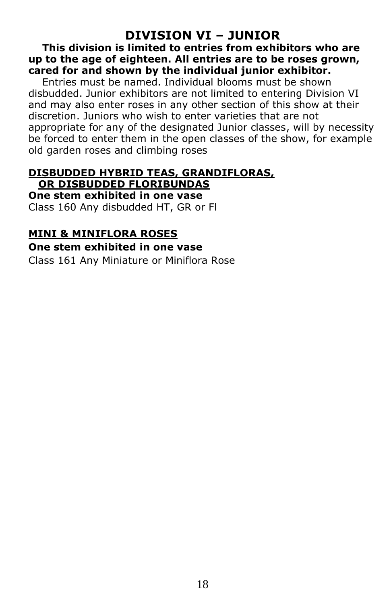# **DIVISION VI – JUNIOR**

 **This division is limited to entries from exhibitors who are up to the age of eighteen. All entries are to be roses grown, cared for and shown by the individual junior exhibitor.**

 Entries must be named. Individual blooms must be shown disbudded. Junior exhibitors are not limited to entering Division VI and may also enter roses in any other section of this show at their discretion. Juniors who wish to enter varieties that are not appropriate for any of the designated Junior classes, will by necessity be forced to enter them in the open classes of the show, for example old garden roses and climbing roses

#### **DISBUDDED HYBRID TEAS, GRANDIFLORAS, OR DISBUDDED FLORIBUNDAS**

**One stem exhibited in one vase**  Class 160 Any disbudded HT, GR or Fl

#### **MINI & MINIFLORA ROSES**

#### **One stem exhibited in one vase**

Class 161 Any Miniature or Miniflora Rose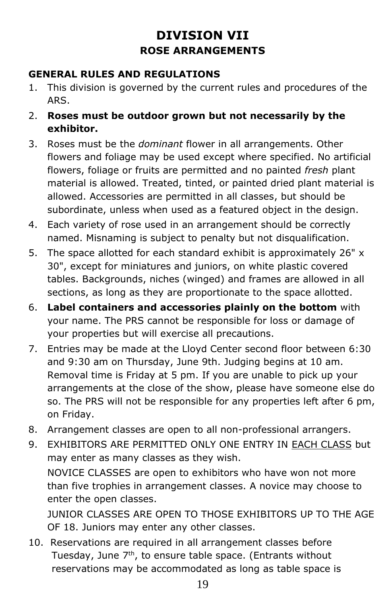# **DIVISION VII ROSE ARRANGEMENTS**

# **GENERAL RULES AND REGULATIONS**

- 1. This division is governed by the current rules and procedures of the ARS.
- 2. **Roses must be outdoor grown but not necessarily by the exhibitor.**
- 3. Roses must be the *dominant* flower in all arrangements. Other flowers and foliage may be used except where specified. No artificial flowers, foliage or fruits are permitted and no painted *fresh* plant material is allowed. Treated, tinted, or painted dried plant material is allowed. Accessories are permitted in all classes, but should be subordinate, unless when used as a featured object in the design.
- 4. Each variety of rose used in an arrangement should be correctly named. Misnaming is subject to penalty but not disqualification.
- 5. The space allotted for each standard exhibit is approximately 26" x 30", except for miniatures and juniors, on white plastic covered tables. Backgrounds, niches (winged) and frames are allowed in all sections, as long as they are proportionate to the space allotted.
- 6. **Label containers and accessories plainly on the bottom** with your name. The PRS cannot be responsible for loss or damage of your properties but will exercise all precautions.
- 7. Entries may be made at the Lloyd Center second floor between 6:30 and 9:30 am on Thursday, June 9th. Judging begins at 10 am. Removal time is Friday at 5 pm. If you are unable to pick up your arrangements at the close of the show, please have someone else do so. The PRS will not be responsible for any properties left after 6 pm, on Friday.
- 8. Arrangement classes are open to all non-professional arrangers.
- 9. EXHIBITORS ARE PERMITTED ONLY ONE ENTRY IN EACH CLASS but may enter as many classes as they wish. NOVICE CLASSES are open to exhibitors who have won not more than five trophies in arrangement classes. A novice may choose to enter the open classes. JUNIOR CLASSES ARE OPEN TO THOSE EXHIBITORS UP TO THE AGE

OF 18. Juniors may enter any other classes.

10. Reservations are required in all arrangement classes before Tuesday, June 7<sup>th</sup>, to ensure table space. (Entrants without reservations may be accommodated as long as table space is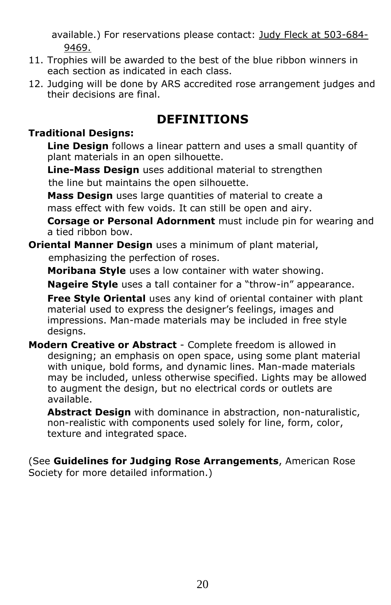available.) For reservations please contact: Judy Fleck at 503-684-9469.

- 11. Trophies will be awarded to the best of the blue ribbon winners in each section as indicated in each class.
- 12. Judging will be done by ARS accredited rose arrangement judges and their decisions are final.

# **DEFINITIONS**

# **Traditional Designs:**

**Line Design** follows a linear pattern and uses a small quantity of plant materials in an open silhouette.

**Line-Mass Design** uses additional material to strengthen the line but maintains the open silhouette.

**Mass Design** uses large quantities of material to create a mass effect with few voids. It can still be open and airy.

**Corsage or Personal Adornment** must include pin for wearing and a tied ribbon bow.

**Oriental Manner Design** uses a minimum of plant material, emphasizing the perfection of roses.

**Moribana Style** uses a low container with water showing.

**Nageire Style** uses a tall container for a "throw-in" appearance.

**Free Style Oriental** uses any kind of oriental container with plant material used to express the designer's feelings, images and impressions. Man-made materials may be included in free style designs.

**Modern Creative or Abstract** - Complete freedom is allowed in designing; an emphasis on open space, using some plant material with unique, bold forms, and dynamic lines. Man-made materials may be included, unless otherwise specified. Lights may be allowed to augment the design, but no electrical cords or outlets are available.

**Abstract Design** with dominance in abstraction, non-naturalistic, non-realistic with components used solely for line, form, color, texture and integrated space.

(See **Guidelines for Judging Rose Arrangements**, American Rose Society for more detailed information.)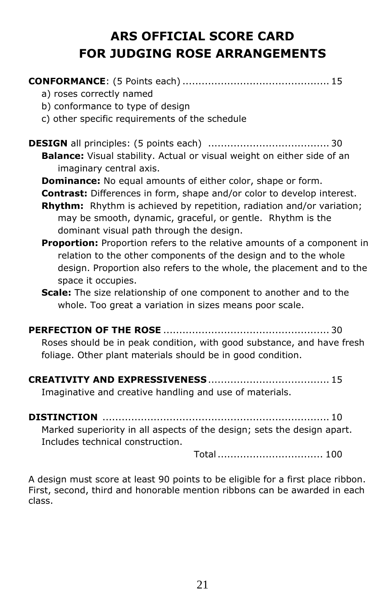# **ARS OFFICIAL SCORE CARD FOR JUDGING ROSE ARRANGEMENTS**

| a) roses correctly named<br>b) conformance to type of design                                                                                                                                                                                                                                                                                                                                                                                                                                                                                                                                                                                                                                                                                                     |
|------------------------------------------------------------------------------------------------------------------------------------------------------------------------------------------------------------------------------------------------------------------------------------------------------------------------------------------------------------------------------------------------------------------------------------------------------------------------------------------------------------------------------------------------------------------------------------------------------------------------------------------------------------------------------------------------------------------------------------------------------------------|
| c) other specific requirements of the schedule                                                                                                                                                                                                                                                                                                                                                                                                                                                                                                                                                                                                                                                                                                                   |
| Balance: Visual stability. Actual or visual weight on either side of an<br>imaginary central axis.<br><b>Dominance:</b> No equal amounts of either color, shape or form.<br>Contrast: Differences in form, shape and/or color to develop interest.<br>Rhythm: Rhythm is achieved by repetition, radiation and/or variation;<br>may be smooth, dynamic, graceful, or gentle. Rhythm is the<br>dominant visual path through the design.<br><b>Proportion:</b> Proportion refers to the relative amounts of a component in<br>relation to the other components of the design and to the whole<br>design. Proportion also refers to the whole, the placement and to the<br>space it occupies.<br>Scale: The size relationship of one component to another and to the |
| whole. Too great a variation in sizes means poor scale.                                                                                                                                                                                                                                                                                                                                                                                                                                                                                                                                                                                                                                                                                                          |
| Roses should be in peak condition, with good substance, and have fresh<br>foliage. Other plant materials should be in good condition.                                                                                                                                                                                                                                                                                                                                                                                                                                                                                                                                                                                                                            |
|                                                                                                                                                                                                                                                                                                                                                                                                                                                                                                                                                                                                                                                                                                                                                                  |
| Imaginative and creative handling and use of materials.                                                                                                                                                                                                                                                                                                                                                                                                                                                                                                                                                                                                                                                                                                          |
|                                                                                                                                                                                                                                                                                                                                                                                                                                                                                                                                                                                                                                                                                                                                                                  |
| Marked superiority in all aspects of the design; sets the design apart.<br>Includes technical construction.                                                                                                                                                                                                                                                                                                                                                                                                                                                                                                                                                                                                                                                      |

Total................................. 100

A design must score at least 90 points to be eligible for a first place ribbon. First, second, third and honorable mention ribbons can be awarded in each class.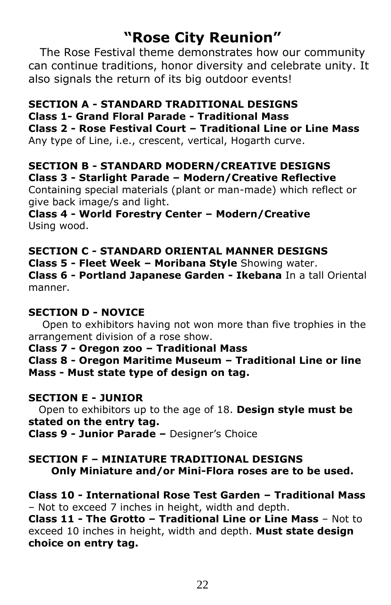# **"Rose City Reunion"**

The Rose Festival theme demonstrates how our community can continue traditions, honor diversity and celebrate unity. It also signals the return of its big outdoor events!

# **SECTION A - STANDARD TRADITIONAL DESIGNS**

**Class 1- Grand Floral Parade - Traditional Mass** 

**Class 2 - Rose Festival Court – Traditional Line or Line Mass** 

Any type of Line, i.e., crescent, vertical, Hogarth curve.

# **SECTION B - STANDARD MODERN/CREATIVE DESIGNS Class 3 - Starlight Parade – Modern/Creative Reflective**

Containing special materials (plant or man-made) which reflect or give back image/s and light.

**Class 4 - World Forestry Center – Modern/Creative**  Using wood.

**SECTION C - STANDARD ORIENTAL MANNER DESIGNS Class 5 - Fleet Week – Moribana Style** Showing water. **Class 6 - Portland Japanese Garden - Ikebana** In a tall Oriental manner.

### **SECTION D - NOVICE**

 Open to exhibitors having not won more than five trophies in the arrangement division of a rose show.

**Class 7 - Oregon zoo – Traditional Mass**

**Class 8 - Oregon Maritime Museum – Traditional Line or line Mass - Must state type of design on tag.**

### **SECTION E - JUNIOR**

 Open to exhibitors up to the age of 18. **Design style must be stated on the entry tag.**

**Class 9 - Junior Parade –** Designer's Choice

### **SECTION F – MINIATURE TRADITIONAL DESIGNS Only Miniature and/or Mini-Flora roses are to be used.**

**Class 10 - International Rose Test Garden – Traditional Mass**  – Not to exceed 7 inches in height, width and depth. **Class 11 - The Grotto – Traditional Line or Line Mass** – Not to

exceed 10 inches in height, width and depth. **Must state design choice on entry tag.**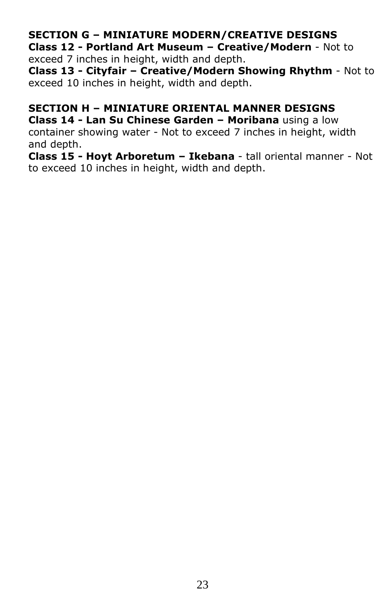# **SECTION G – MINIATURE MODERN/CREATIVE DESIGNS**

**Class 12 - Portland Art Museum – Creative/Modern** - Not to exceed 7 inches in height, width and depth.

**Class 13 - Cityfair – Creative/Modern Showing Rhythm** - Not to exceed 10 inches in height, width and depth.

#### **SECTION H – MINIATURE ORIENTAL MANNER DESIGNS Class 14 - Lan Su Chinese Garden – Moribana** using a low

container showing water - Not to exceed 7 inches in height, width and depth.

**Class 15 - Hoyt Arboretum – Ikebana** - tall oriental manner - Not to exceed 10 inches in height, width and depth.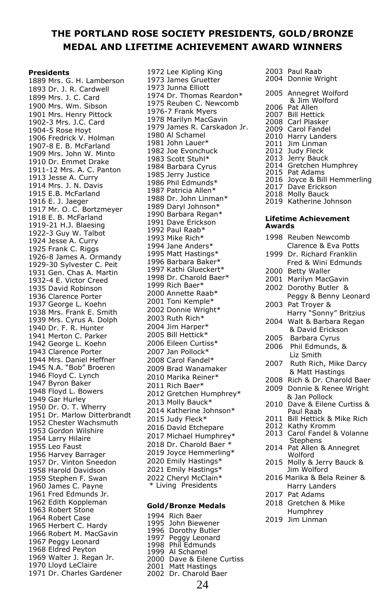#### **THE PORTLAND ROSE SOCIETY PRESIDENTS, GOLD/BRONZE MEDAL AND LIFETIME ACHIEVEMENT AW**

#### **Presidents**

1889 Mrs. G. H. Lamberson 1893 Dr. J. R. Cardwell 1899 Mrs. J. C. Card 1900 Mrs. Wm. Sibson 1901 Mrs. Henry Pittock 1902-3 Mrs. J.C. Card 1904-5 Rose Hoyt 1906 Fredrick V. Holman 1907-8 E. B. McFarland 1909 Mrs. John W. Minto 1910 Dr. Emmet Drake 1911-12 Mrs. A. C. Panton 1913 Jesse A. Curry 1914 Mrs. J. N. Davis 1915 E.B. McFarland 1916 E. J. Jaeger 1917 Mr. O. C. Bortzmeyer 1918 E. B. McFarland 1919-21 H.J. Blaesing 1922-3 Guy W. Talbot 1924 Jesse A. Curry 1925 Frank C. Riggs 1926-8 James A. Ormandy 1929-30 Sylvester C. Peit 1931 Gen. Chas A. Martin 1932-4 E. Victor Creed 1935 David Robinson 1936 Clarence Porter 1937 George L. Koehn 1938 Mrs. Frank E. Smith 1939 Mrs. Cyrus A. Dolph 1940 Dr. F. R. Hunter 1941 Merton C. Parker 1942 George L. Koehn 1943 Clarence Porter 1944 Mrs. Daniel Heffner 1945 N.A. "Bob" Broeren 1946 Floyd C. Lynch 1947 Byron Baker 1948 Floyd L. Bowers 1949 Gar Hurley 1950 Dr. O. T. Wherry 1951 Dr. Marlow Ditterbrandt 1952 Chester Wachsmuth 1953 Gordon Wilshire 1954 Larry Hilaire 1955 Leo Faust 1956 Harvey Barrager 1957 Dr. Vinton Sneedon 1958 Harold Davidson 1959 Stephen F. Swan 1960 James C. Payne 1961 Fred Edmunds Jr. 1962 Edith Koppleman 1963 Robert Stone 1964 Robert Case 1965 Herbert C. Hardy 1966 Robert M. MacGavin 1967 Peggy Leonard 1968 Eldred Peyton 1969 Walter J. Regan Jr. 1970 Lloyd LeClaire 1971 Dr. Charles Gardener

1972 Lee Kipling King 1973 James Gruetter 1973 Junna Elliott 1974 Dr. Thomas Reardon\* 1975 Reuben C. Newcomb 1976-7 Frank Myers 1978 Marilyn MacGavin 1979 James R. Carskadon Jr. 1980 Al Schamel 1981 John Lauer\* 1982 Joe Evonchuck 1983 Scott Stuhl\* 1984 Barbara Cyrus 1985 Jerry Justice 1986 Phil Edmunds\* 1987 Patricia Allen\* 1988 Dr. John Linman\* 1989 Daryl Johnson\* 1990 Barbara Regan\* 1991 Dave Erickson 1992 Paul Raab\* 1993 Mike Rich\* 1994 Jane Anders\* 1995 Matt Hastings\* 1996 Barbara Baker\* 1997 Kathi Glueckert\* 1998 Dr. Charold Baer\* 1999 Rich Baer\* 2000 Annette Raab\* 2001 Toni Kemple\* 2002 Donnie Wright\* 2003 Ruth Rich\* 2004 Jim Harper\* 2005 Bill Hettick\* 2006 Eileen Curtiss\* 2007 Jan Pollock\* 2008 Carol Fandel\* 2009 Brad Wanamaker 2010 Marika Reiner\* 2011 Rich Baer\* 2012 Gretchen Humphrey\* 2013 Molly Bauck\* 2014 Katherine Johnson\* 2015 Judy Fleck\* 2016 David Etchepare 2017 Michael Humphrey\* 2018 Dr. Charold Baer \* 2019 Joyce Hemmerling\* 2020 Emily Hastings\* 2021 Emily Hastings\* 2022 Cheryl McClain\* \* Living Presidents

#### **Gold/Bronze Medals**

1994 Rich Baer<br>1995 Dorothy Butler<br>1996 Dorothy Butler<br>1997 Peggy Leonard<br>1998 Al Schamel<br>2000 Dave & Eilene Curtiss<br>2001 Matt Hastings<br>2002 Dr. Charold Baer

|                      | /ARD WINNERS                                             |
|----------------------|----------------------------------------------------------|
| 2003<br>2004         | Paul Raab<br>Donnie Wright                               |
| 2005                 | Annegret Wolford<br>& Jim Wolford                        |
| 2006<br>2007<br>2008 | Pat Allen<br><b>Bill Hettick</b><br>Carl Plasker         |
| 2009<br>2010         | Carol Fandel<br>Harry Landers<br>Jim Linman              |
| 2011<br>2012<br>2013 | Judy Fleck<br>Jerry Bauck                                |
| 2014<br>2015         | Gretchen Humphrey<br>Pat Adams                           |
| 2016<br>2017         | Joyce & Bill Hemmerling<br>Dave Erickson                 |
| 2018<br>2019         | Molly Bauck<br>Katherine Johnson                         |
| Awards               | Lifetime Achievement                                     |
| 1998                 | Reuben Newcomb<br>Clarence & Eva Potts                   |
| 1999                 | Dr. Richard Franklin<br>Fred & Wini Edmunds              |
| 2000<br>2001         | <b>Betty Waller</b><br>Marilyn MacGavin                  |
| 2002                 | Dorothy Butler<br>&<br>Peggy & Benny Leonard             |
| 2003                 | Pat Troyer &<br>Harry "Sonny" Britzius                   |
| 2004                 | Walt & Barbara Regan<br>& David Erickson                 |
| 2005<br>2006         | Barbara Cyrus<br>Phil Edmunds, &                         |
| 2007                 | Liz Smith<br>Ruth Rich, Mike Darcy                       |
| 2008                 | & Matt Hastings<br>Rich & Dr. Charold Baer               |
| 2009                 | Donnie & Renee Wright<br>& Jan Pollock                   |
| 2010                 | Dave & Eilene Curtiss &<br>Paul Raab                     |
| 2011<br>2012         | Bill Hettick & Mike Rich<br>Kathy Kromm                  |
| 2013                 | Carol Fandel & Volanne<br>Stephens                       |
| 2014<br>2015         | Pat Allen & Annegret<br>Wolford<br>Molly & Jerry Bauck & |
| 2016                 | Jim Wolford<br>Marika & Bela Reiner &                    |
| 2017                 | Harry Landers<br>Pat Adams                               |
| 2018                 | Gretchen & Mike<br>Humphrev                              |
|                      |                                                          |

2019 Jim Linman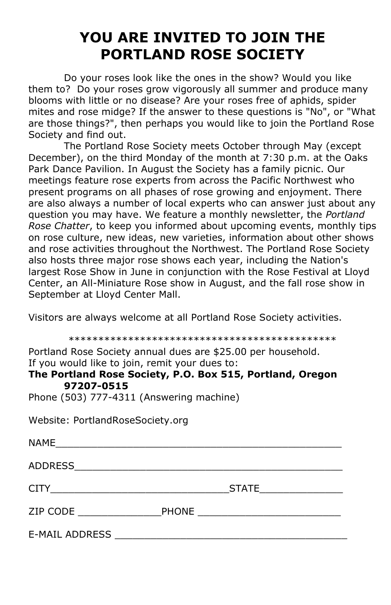# **YOU ARE INVITED TO JOIN THE PORTLAND ROSE SOCIETY**

Do your roses look like the ones in the show? Would you like them to? Do your roses grow vigorously all summer and produce many blooms with little or no disease? Are your roses free of aphids, spider mites and rose midge? If the answer to these questions is "No", or "What are those things?", then perhaps you would like to join the Portland Rose Society and find out.

The Portland Rose Society meets October through May (except December), on the third Monday of the month at 7:30 p.m. at the Oaks Park Dance Pavilion. In August the Society has a family picnic. Our meetings feature rose experts from across the Pacific Northwest who present programs on all phases of rose growing and enjoyment. There are also always a number of local experts who can answer just about any question you may have. We feature a monthly newsletter, the *Portland Rose Chatter*, to keep you informed about upcoming events, monthly tips on rose culture, new ideas, new varieties, information about other shows and rose activities throughout the Northwest. The Portland Rose Society also hosts three major rose shows each year, including the Nation's largest Rose Show in June in conjunction with the Rose Festival at Lloyd Center, an All-Miniature Rose show in August, and the fall rose show in September at Lloyd Center Mall.

Visitors are always welcome at all Portland Rose Society activities.

\*\*\*\*\*\*\*\*\*\*\*\*\*\*\*\*\*\*\*\*\*\*\*\*\*\*\*\*\*\*\*\*\*\*\*\*\*\*\*\*\*\*\*\*\*

Portland Rose Society annual dues are \$25.00 per household. If you would like to join, remit your dues to:

#### **The Portland Rose Society, P.O. Box 515, Portland, Oregon 97207-0515**

Phone (503) 777-4311 (Answering machine)

Website: PortlandRoseSociety.org

| NAME                  |              |              |  |
|-----------------------|--------------|--------------|--|
| ADDRESS_              |              |              |  |
|                       |              | <b>STATE</b> |  |
| ZIP CODE              | <b>PHONE</b> |              |  |
| <b>E-MAIL ADDRESS</b> |              |              |  |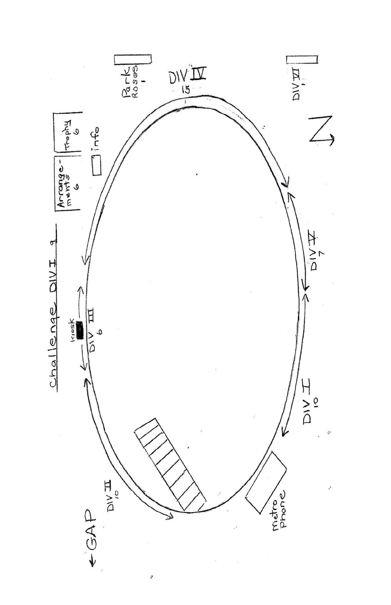